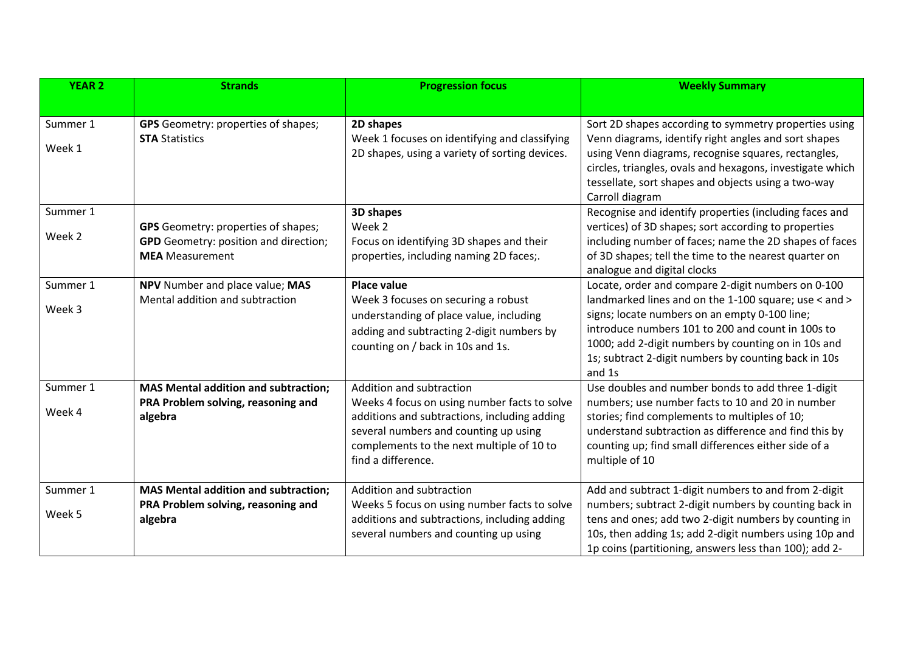| <b>YEAR 2</b>      | <b>Strands</b>                                                                                                       | <b>Progression focus</b>                                                                                                                                                                                                             | <b>Weekly Summary</b>                                                                                                                                                                                                                                                                                                                                           |
|--------------------|----------------------------------------------------------------------------------------------------------------------|--------------------------------------------------------------------------------------------------------------------------------------------------------------------------------------------------------------------------------------|-----------------------------------------------------------------------------------------------------------------------------------------------------------------------------------------------------------------------------------------------------------------------------------------------------------------------------------------------------------------|
|                    |                                                                                                                      |                                                                                                                                                                                                                                      |                                                                                                                                                                                                                                                                                                                                                                 |
| Summer 1<br>Week 1 | <b>GPS</b> Geometry: properties of shapes;<br><b>STA Statistics</b>                                                  | 2D shapes<br>Week 1 focuses on identifying and classifying<br>2D shapes, using a variety of sorting devices.                                                                                                                         | Sort 2D shapes according to symmetry properties using<br>Venn diagrams, identify right angles and sort shapes<br>using Venn diagrams, recognise squares, rectangles,<br>circles, triangles, ovals and hexagons, investigate which<br>tessellate, sort shapes and objects using a two-way<br>Carroll diagram                                                     |
| Summer 1<br>Week 2 | <b>GPS</b> Geometry: properties of shapes;<br><b>GPD</b> Geometry: position and direction;<br><b>MEA</b> Measurement | 3D shapes<br>Week 2<br>Focus on identifying 3D shapes and their<br>properties, including naming 2D faces;.                                                                                                                           | Recognise and identify properties (including faces and<br>vertices) of 3D shapes; sort according to properties<br>including number of faces; name the 2D shapes of faces<br>of 3D shapes; tell the time to the nearest quarter on                                                                                                                               |
| Summer 1<br>Week 3 | NPV Number and place value; MAS<br>Mental addition and subtraction                                                   | <b>Place value</b><br>Week 3 focuses on securing a robust<br>understanding of place value, including<br>adding and subtracting 2-digit numbers by<br>counting on / back in 10s and 1s.                                               | analogue and digital clocks<br>Locate, order and compare 2-digit numbers on 0-100<br>landmarked lines and on the 1-100 square; use < and ><br>signs; locate numbers on an empty 0-100 line;<br>introduce numbers 101 to 200 and count in 100s to<br>1000; add 2-digit numbers by counting on in 10s and<br>1s; subtract 2-digit numbers by counting back in 10s |
| Summer 1<br>Week 4 | <b>MAS Mental addition and subtraction;</b><br>PRA Problem solving, reasoning and<br>algebra                         | Addition and subtraction<br>Weeks 4 focus on using number facts to solve<br>additions and subtractions, including adding<br>several numbers and counting up using<br>complements to the next multiple of 10 to<br>find a difference. | and 1s<br>Use doubles and number bonds to add three 1-digit<br>numbers; use number facts to 10 and 20 in number<br>stories; find complements to multiples of 10;<br>understand subtraction as difference and find this by<br>counting up; find small differences either side of a<br>multiple of 10                                                             |
| Summer 1<br>Week 5 | <b>MAS Mental addition and subtraction;</b><br>PRA Problem solving, reasoning and<br>algebra                         | Addition and subtraction<br>Weeks 5 focus on using number facts to solve<br>additions and subtractions, including adding<br>several numbers and counting up using                                                                    | Add and subtract 1-digit numbers to and from 2-digit<br>numbers; subtract 2-digit numbers by counting back in<br>tens and ones; add two 2-digit numbers by counting in<br>10s, then adding 1s; add 2-digit numbers using 10p and<br>1p coins (partitioning, answers less than 100); add 2-                                                                      |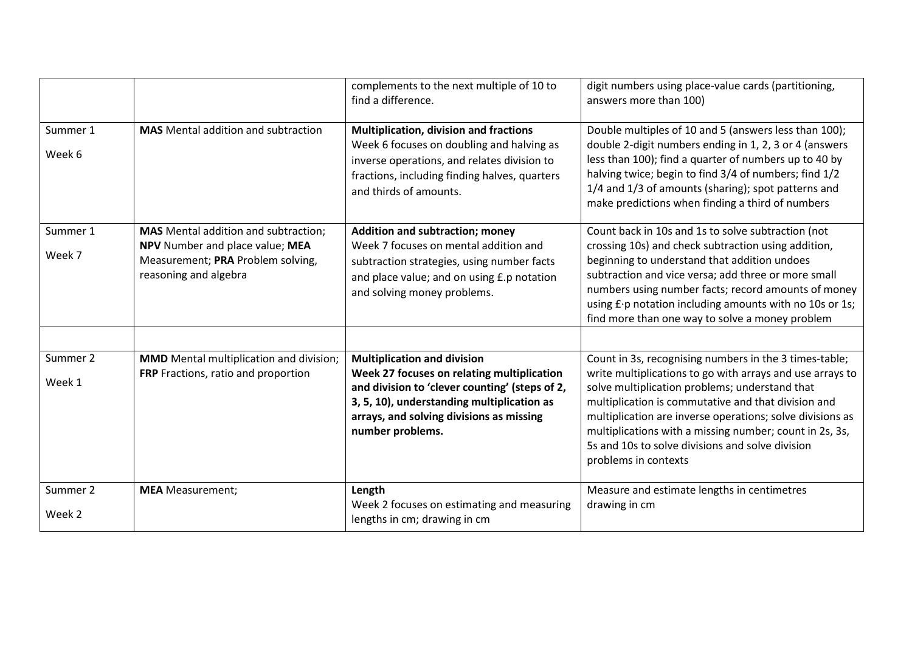|                    |                                                                                                                                              | complements to the next multiple of 10 to<br>find a difference.                                                                                                                                                                                  | digit numbers using place-value cards (partitioning,<br>answers more than 100)                                                                                                                                                                                                                                                                                                                                                   |
|--------------------|----------------------------------------------------------------------------------------------------------------------------------------------|--------------------------------------------------------------------------------------------------------------------------------------------------------------------------------------------------------------------------------------------------|----------------------------------------------------------------------------------------------------------------------------------------------------------------------------------------------------------------------------------------------------------------------------------------------------------------------------------------------------------------------------------------------------------------------------------|
| Summer 1<br>Week 6 | <b>MAS</b> Mental addition and subtraction                                                                                                   | <b>Multiplication, division and fractions</b><br>Week 6 focuses on doubling and halving as<br>inverse operations, and relates division to<br>fractions, including finding halves, quarters<br>and thirds of amounts.                             | Double multiples of 10 and 5 (answers less than 100);<br>double 2-digit numbers ending in 1, 2, 3 or 4 (answers<br>less than 100); find a quarter of numbers up to 40 by<br>halving twice; begin to find 3/4 of numbers; find 1/2<br>1/4 and 1/3 of amounts (sharing); spot patterns and<br>make predictions when finding a third of numbers                                                                                     |
| Summer 1<br>Week 7 | <b>MAS</b> Mental addition and subtraction;<br>NPV Number and place value; MEA<br>Measurement; PRA Problem solving,<br>reasoning and algebra | <b>Addition and subtraction; money</b><br>Week 7 focuses on mental addition and<br>subtraction strategies, using number facts<br>and place value; and on using £.p notation<br>and solving money problems.                                       | Count back in 10s and 1s to solve subtraction (not<br>crossing 10s) and check subtraction using addition,<br>beginning to understand that addition undoes<br>subtraction and vice versa; add three or more small<br>numbers using number facts; record amounts of money<br>using £ · p notation including amounts with no 10s or 1s;<br>find more than one way to solve a money problem                                          |
| Summer 2<br>Week 1 | <b>MMD</b> Mental multiplication and division;<br>FRP Fractions, ratio and proportion                                                        | <b>Multiplication and division</b><br>Week 27 focuses on relating multiplication<br>and division to 'clever counting' (steps of 2,<br>3, 5, 10), understanding multiplication as<br>arrays, and solving divisions as missing<br>number problems. | Count in 3s, recognising numbers in the 3 times-table;<br>write multiplications to go with arrays and use arrays to<br>solve multiplication problems; understand that<br>multiplication is commutative and that division and<br>multiplication are inverse operations; solve divisions as<br>multiplications with a missing number; count in 2s, 3s,<br>5s and 10s to solve divisions and solve division<br>problems in contexts |
| Summer 2<br>Week 2 | <b>MEA</b> Measurement;                                                                                                                      | Length<br>Week 2 focuses on estimating and measuring<br>lengths in cm; drawing in cm                                                                                                                                                             | Measure and estimate lengths in centimetres<br>drawing in cm                                                                                                                                                                                                                                                                                                                                                                     |